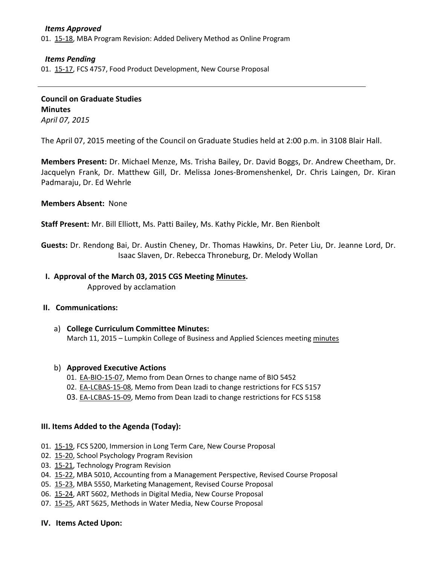### *Items Approved*

01. [15-18,](http://castle.eiu.edu/~eiucgs/currentagendaitems/agenda15-18.pdf) MBA Program Revision: Added Delivery Method as Online Program

### *Items Pending*

01. [15-17,](http://castle.eiu.edu/~eiucgs/currentagendaitems/agenda15-17.pdf) FCS 4757, Food Product Development, New Course Proposal

**Council on Graduate Studies Minutes** *April 07, 2015*

The April 07, 2015 meeting of the Council on Graduate Studies held at 2:00 p.m. in 3108 Blair Hall.

**Members Present:** Dr. Michael Menze, Ms. Trisha Bailey, Dr. David Boggs, Dr. Andrew Cheetham, Dr. Jacquelyn Frank, Dr. Matthew Gill, Dr. Melissa Jones-Bromenshenkel, Dr. Chris Laingen, Dr. Kiran Padmaraju, Dr. Ed Wehrle

#### **Members Absent:** None

**Staff Present:** Mr. Bill Elliott, Ms. Patti Bailey, Ms. Kathy Pickle, Mr. Ben Rienbolt

**Guests:** Dr. Rendong Bai, Dr. Austin Cheney, Dr. Thomas Hawkins, Dr. Peter Liu, Dr. Jeanne Lord, Dr. Isaac Slaven, Dr. Rebecca Throneburg, Dr. Melody Wollan

#### **I. Approval of the March 03, 2015 CGS Meeting [Minutes.](http://castle.eiu.edu/eiucgs/currentminutes/Minutes03-03-15.pdf)** Approved by acclamation

### **II. Communications:**

a) **College Curriculum Committee Minutes:** March 11, 2015 – Lumpkin College of Business and Applied Sciences meetin[g minutes](http://castle.eiu.edu/~eiucgs/currentagendaitems/LCBASMin03-11-15.pdf)

#### b) **Approved Executive Actions**

- 01. [EA-BIO-15-07,](http://castle.eiu.edu/~eiucgs/exec-actions/EA-BIO-15-07.pdf) Memo from Dean Ornes to change name of BIO 5452
- 02. [EA-LCBAS-15-08,](http://castle.eiu.edu/~eiucgs/exec-actions/EA-LCBAS-15-08.pdf) Memo from Dean Izadi to change restrictions for FCS 5157
- 03. [EA-LCBAS-15-09,](http://castle.eiu.edu/~eiucgs/exec-actions/EA-LCBAS-15-09.pdf) Memo from Dean Izadi to change restrictions for FCS 5158

### **III. Items Added to the Agenda (Today):**

- 01. [15-19,](http://castle.eiu.edu/~eiucgs/currentagendaitems/agenda15-19.pdf) FCS 5200, Immersion in Long Term Care, New Course Proposal
- 02. [15-20,](http://castle.eiu.edu/~eiucgs/currentagendaitems/agenda15-20.pdf) School Psychology Program Revision
- 03. [15-21,](http://castle.eiu.edu/~eiucgs/currentagendaitems/agenda15-21.pdf) Technology Program Revision
- 04. [15-22,](http://castle.eiu.edu/~eiucgs/currentagendaitems/agenda15-22.pdf) MBA 5010, Accounting from a Management Perspective, Revised Course Proposal
- 05. [15-23,](http://castle.eiu.edu/~eiucgs/currentagendaitems/agenda15-23.pdf) MBA 5550, Marketing Management, Revised Course Proposal
- 06. [15-24,](http://castle.eiu.edu/~eiucgs/currentagendaitems/agenda15-24.pdf) ART 5602, Methods in Digital Media, New Course Proposal
- 07. [15-25,](http://castle.eiu.edu/~eiucgs/currentagendaitems/agenda15-25.pdf) ART 5625, Methods in Water Media, New Course Proposal

#### **IV. Items Acted Upon:**